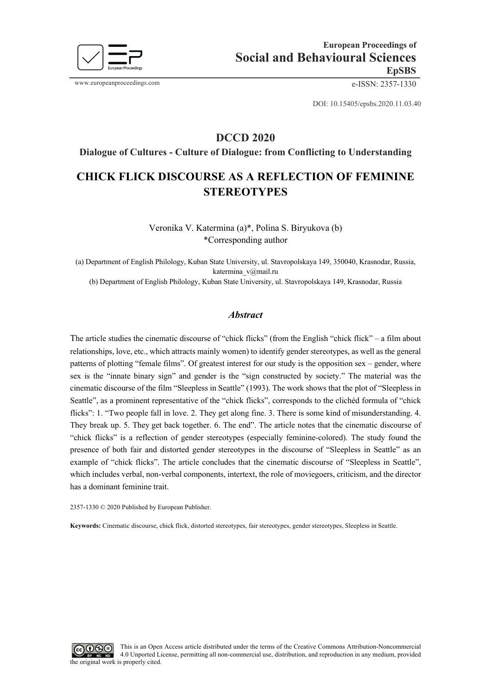

www.europeanproceedings.com e-ISSN: 2357-1330

DOI: 10.15405/epsbs.2020.11.03.40

## **DCCD 2020**

**Dialogue of Cultures - Culture of Dialogue: from Conflicting to Understanding**

# **CHICK FLICK DISCOURSE AS A REFLECTION OF FEMININE STEREOTYPES**

Veronika V. Katermina (a)\*, Polina S. Biryukova (b) \*Corresponding author

(a) Department of English Philology, Kuban State University, ul. Stavropolskaya 149, 350040, Krasnodar, Russia, katermina\_v@mail.ru

(b) Department of English Philology, Kuban State University, ul. Stavropolskaya 149, Krasnodar, Russia

## *Abstract*

The article studies the cinematic discourse of "chick flicks" (from the English "chick flick" – a film about relationships, love, etc., which attracts mainly women) to identify gender stereotypes, as well as the general patterns of plotting "female films". Of greatest interest for our study is the opposition sex – gender, where sex is the "innate binary sign" and gender is the "sign constructed by society." The material was the cinematic discourse of the film "Sleepless in Seattle" (1993). The work shows that the plot of "Sleepless in Seattle", as a prominent representative of the "chick flicks", corresponds to the clichéd formula of "chick flicks": 1. "Two people fall in love. 2. They get along fine. 3. There is some kind of misunderstanding. 4. They break up. 5. They get back together. 6. The end". The article notes that the cinematic discourse of "chick flicks" is a reflection of gender stereotypes (especially feminine-colored). The study found the presence of both fair and distorted gender stereotypes in the discourse of "Sleepless in Seattle" as an example of "chick flicks". The article concludes that the cinematic discourse of "Sleepless in Seattle", which includes verbal, non-verbal components, intertext, the role of moviegoers, criticism, and the director has a dominant feminine trait.

2357-1330 © 2020 Published by European Publisher.

**Keywords:** Cinematic discourse, chick flick, distorted stereotypes, fair stereotypes, gender stereotypes, Sleepless in Seattle.

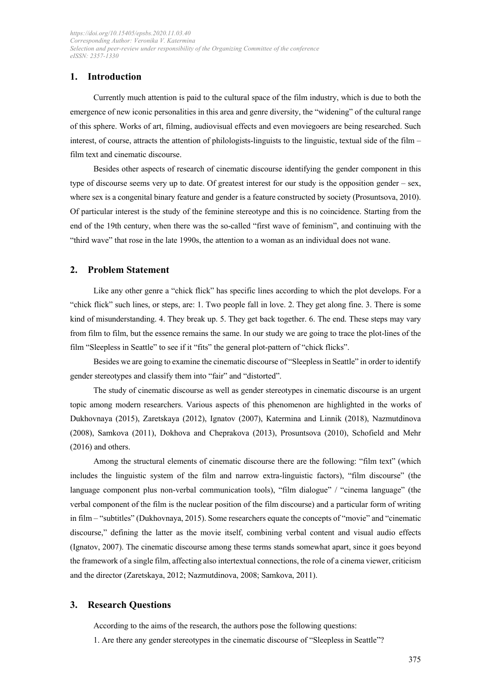## **1. Introduction**

Currently much attention is paid to the cultural space of the film industry, which is due to both the emergence of new iconic personalities in this area and genre diversity, the "widening" of the cultural range of this sphere. Works of art, filming, audiovisual effects and even moviegoers are being researched. Such interest, of course, attracts the attention of philologists-linguists to the linguistic, textual side of the film – film text and cinematic discourse.

Besides other aspects of research of cinematic discourse identifying the gender component in this type of discourse seems very up to date. Of greatest interest for our study is the opposition gender – sex, where sex is a congenital binary feature and gender is a feature constructed by society (Prosuntsova, 2010). Of particular interest is the study of the feminine stereotype and this is no coincidence. Starting from the end of the 19th century, when there was the so-called "first wave of feminism", and continuing with the "third wave" that rose in the late 1990s, the attention to a woman as an individual does not wane.

## **2. Problem Statement**

Like any other genre a "chick flick" has specific lines according to which the plot develops. For a "chick flick" such lines, or steps, are: 1. Two people fall in love. 2. They get along fine. 3. There is some kind of misunderstanding. 4. They break up. 5. They get back together. 6. The end. These steps may vary from film to film, but the essence remains the same. In our study we are going to trace the plot-lines of the film "Sleepless in Seattle" to see if it "fits" the general plot-pattern of "chick flicks".

Besides we are going to examine the cinematic discourse of "Sleepless in Seattle" in order to identify gender stereotypes and classify them into "fair" and "distorted".

The study of cinematic discourse as well as gender stereotypes in cinematic discourse is an urgent topic among modern researchers. Various aspects of this phenomenon are highlighted in the works of Dukhovnaya (2015), Zaretskaya (2012), Ignatov (2007), Katermina and Linnik (2018), Nazmutdinova (2008), Samkova (2011), Dokhova and Cheprakova (2013), Prosuntsova (2010), Schofield and Mehr (2016) and others.

Among the structural elements of cinematic discourse there are the following: "film text" (which includes the linguistic system of the film and narrow extra-linguistic factors), "film discourse" (the language component plus non-verbal communication tools), "film dialogue" / "cinema language" (the verbal component of the film is the nuclear position of the film discourse) and a particular form of writing in film – "subtitles" (Dukhovnaya, 2015). Some researchers equate the concepts of "movie" and "cinematic discourse," defining the latter as the movie itself, combining verbal content and visual audio effects (Ignatov, 2007). The cinematic discourse among these terms stands somewhat apart, since it goes beyond the framework of a single film, affecting also intertextual connections, the role of a cinema viewer, criticism and the director (Zaretskaya, 2012; Nazmutdinova, 2008; Samkova, 2011).

#### **3. Research Questions**

According to the aims of the research, the authors pose the following questions:

1. Are there any gender stereotypes in the cinematic discourse of "Sleepless in Seattle"?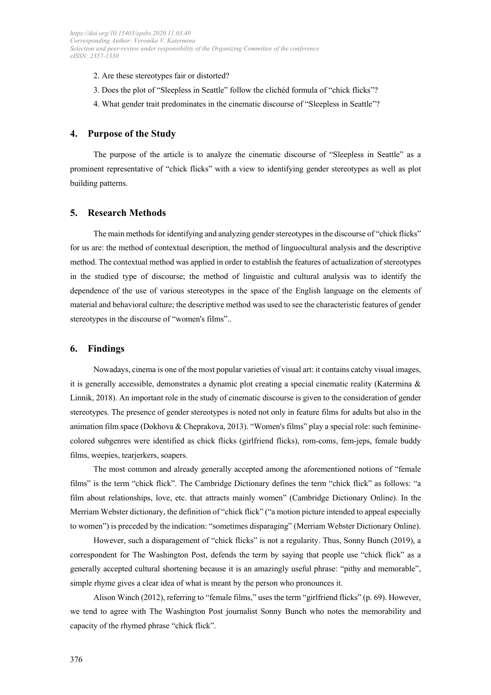- 2. Are these stereotypes fair or distorted?
- 3. Does the plot of "Sleepless in Seattle" follow the clichéd formula of "chick flicks"?
- 4. What gender trait predominates in the cinematic discourse of "Sleepless in Seattle"?

#### **4. Purpose of the Study**

The purpose of the article is to analyze the cinematic discourse of "Sleepless in Seattle" as a prominent representative of "chick flicks" with a view to identifying gender stereotypes as well as plot building patterns.

#### **5. Research Methods**

The main methods for identifying and analyzing gender stereotypes in the discourse of "chick flicks" for us are: the method of contextual description, the method of linguocultural analysis and the descriptive method. The contextual method was applied in order to establish the features of actualization of stereotypes in the studied type of discourse; the method of linguistic and cultural analysis was to identify the dependence of the use of various stereotypes in the space of the English language on the elements of material and behavioral culture; the descriptive method was used to see the characteristic features of gender stereotypes in the discourse of "women's films"..

#### **6. Findings**

Nowadays, cinema is one of the most popular varieties of visual art: it contains catchy visual images, it is generally accessible, demonstrates a dynamic plot creating a special cinematic reality (Katermina & Linnik, 2018). An important role in the study of cinematic discourse is given to the consideration of gender stereotypes. The presence of gender stereotypes is noted not only in feature films for adults but also in the animation film space (Dokhova & Cheprakova, 2013). "Women's films" play a special role: such femininecolored subgenres were identified as chick flicks (girlfriend flicks), rom-coms, fem-jeps, female buddy films, weepies, tearjerkers, soapers.

The most common and already generally accepted among the aforementioned notions of "female films" is the term "chick flick". The Cambridge Dictionary defines the term "chick flick" as follows: "a film about relationships, love, etc. that attracts mainly women" (Cambridge Dictionary Online). In the Merriam Webster dictionary, the definition of "chick flick" ("a motion picture intended to appeal especially to women") is preceded by the indication: "sometimes disparaging" (Merriam Webster Dictionary Online).

However, such a disparagement of "chick flicks" is not a regularity. Thus, Sonny Bunch (2019), a correspondent for The Washington Post, defends the term by saying that people use "chick flick" as a generally accepted cultural shortening because it is an amazingly useful phrase: "pithy and memorable", simple rhyme gives a clear idea of what is meant by the person who pronounces it.

Alison Winch (2012), referring to "female films," uses the term "girlfriend flicks" (p. 69). However, we tend to agree with The Washington Post journalist Sonny Bunch who notes the memorability and capacity of the rhymed phrase "chick flick".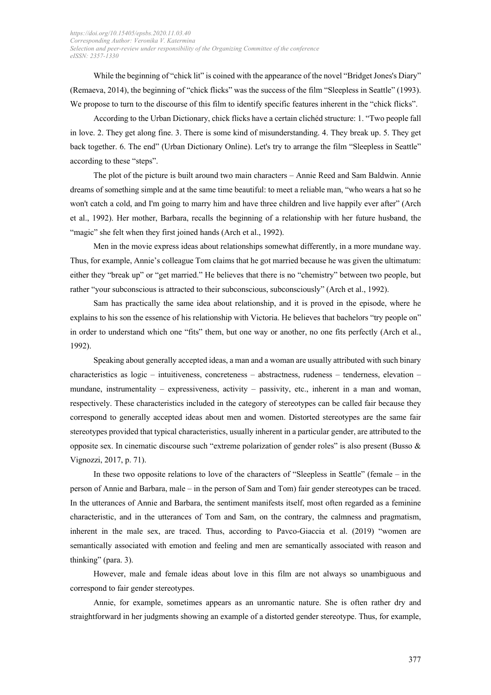While the beginning of "chick lit" is coined with the appearance of the novel "Bridget Jones's Diary" (Remaeva, 2014), the beginning of "chick flicks" was the success of the film "Sleepless in Seattle" (1993). We propose to turn to the discourse of this film to identify specific features inherent in the "chick flicks".

According to the Urban Dictionary, chick flicks have a certain clichéd structure: 1. "Two people fall in love. 2. They get along fine. 3. There is some kind of misunderstanding. 4. They break up. 5. They get back together. 6. The end" (Urban Dictionary Online). Let's try to arrange the film "Sleepless in Seattle" according to these "steps".

The plot of the picture is built around two main characters – Annie Reed and Sam Baldwin. Annie dreams of something simple and at the same time beautiful: to meet a reliable man, "who wears a hat so he won't catch a cold, and I'm going to marry him and have three children and live happily ever after" (Arch et al., 1992). Her mother, Barbara, recalls the beginning of a relationship with her future husband, the "magic" she felt when they first joined hands (Arch et al., 1992).

Men in the movie express ideas about relationships somewhat differently, in a more mundane way. Thus, for example, Annie's colleague Tom claims that he got married because he was given the ultimatum: either they "break up" or "get married." He believes that there is no "chemistry" between two people, but rather "your subconscious is attracted to their subconscious, subconsciously" (Arch et al., 1992).

Sam has practically the same idea about relationship, and it is proved in the episode, where he explains to his son the essence of his relationship with Victoria. He believes that bachelors "try people on" in order to understand which one "fits" them, but one way or another, no one fits perfectly (Arch et al., 1992).

Speaking about generally accepted ideas, a man and a woman are usually attributed with such binary characteristics as logic – intuitiveness, concreteness – abstractness, rudeness – tenderness, elevation – mundane, instrumentality – expressiveness, activity – passivity, etc., inherent in a man and woman, respectively. These characteristics included in the category of stereotypes can be called fair because they correspond to generally accepted ideas about men and women. Distorted stereotypes are the same fair stereotypes provided that typical characteristics, usually inherent in a particular gender, are attributed to the opposite sex. In cinematic discourse such "extreme polarization of gender roles" is also present (Busso  $\&$ Vignozzi, 2017, p. 71).

In these two opposite relations to love of the characters of "Sleepless in Seattle" (female – in the person of Annie and Barbara, male – in the person of Sam and Tom) fair gender stereotypes can be traced. In the utterances of Annie and Barbara, the sentiment manifests itself, most often regarded as a feminine characteristic, and in the utterances of Tom and Sam, on the contrary, the calmness and pragmatism, inherent in the male sex, are traced. Thus, according to Pavco-Giaccia et al. (2019) "women are semantically associated with emotion and feeling and men are semantically associated with reason and thinking" (para. 3).

However, male and female ideas about love in this film are not always so unambiguous and correspond to fair gender stereotypes.

Annie, for example, sometimes appears as an unromantic nature. She is often rather dry and straightforward in her judgments showing an example of a distorted gender stereotype. Thus, for example,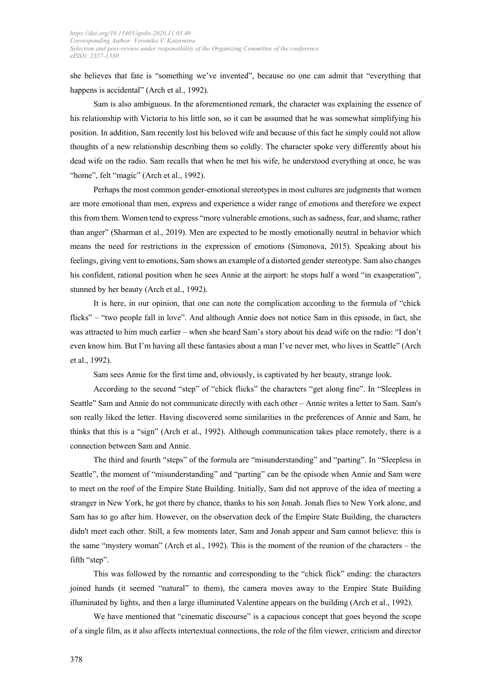she believes that fate is "something we've invented", because no one can admit that "everything that happens is accidental" (Arch et al., 1992).

Sam is also ambiguous. In the aforementioned remark, the character was explaining the essence of his relationship with Victoria to his little son, so it can be assumed that he was somewhat simplifying his position. In addition, Sam recently lost his beloved wife and because of this fact he simply could not allow thoughts of a new relationship describing them so coldly. The character spoke very differently about his dead wife on the radio. Sam recalls that when he met his wife, he understood everything at once, he was "home", felt "magic" (Arch et al., 1992).

Perhaps the most common gender-emotional stereotypes in most cultures are judgments that women are more emotional than men, express and experience a wider range of emotions and therefore we expect this from them. Women tend to express "more vulnerable emotions, such as sadness, fear, and shame, rather than anger" (Sharman et al., 2019). Men are expected to be mostly emotionally neutral in behavior which means the need for restrictions in the expression of emotions (Simonova, 2015). Speaking about his feelings, giving vent to emotions, Sam shows an example of a distorted gender stereotype. Sam also changes his confident, rational position when he sees Annie at the airport: he stops half a word "in exasperation", stunned by her beauty (Arch et al., 1992).

It is here, in our opinion, that one can note the complication according to the formula of "chick flicks" – "two people fall in love". And although Annie does not notice Sam in this episode, in fact, she was attracted to him much earlier – when she heard Sam's story about his dead wife on the radio: "I don't even know him. But I'm having all these fantasies about a man I've never met, who lives in Seattle" (Arch et al., 1992).

Sam sees Annie for the first time and, obviously, is captivated by her beauty, strange look.

According to the second "step" of "chick flicks" the characters "get along fine". In "Sleepless in Seattle" Sam and Annie do not communicate directly with each other – Annie writes a letter to Sam. Sam's son really liked the letter. Having discovered some similarities in the preferences of Annie and Sam, he thinks that this is a "sign" (Arch et al., 1992). Although communication takes place remotely, there is a connection between Sam and Annie.

The third and fourth "steps" of the formula are "misunderstanding" and "parting". In "Sleepless in Seattle", the moment of "misunderstanding" and "parting" can be the episode when Annie and Sam were to meet on the roof of the Empire State Building. Initially, Sam did not approve of the idea of meeting a stranger in New York, he got there by chance, thanks to his son Jonah. Jonah flies to New York alone, and Sam has to go after him. However, on the observation deck of the Empire State Building, the characters didn't meet each other. Still, a few moments later, Sam and Jonah appear and Sam cannot believe: this is the same "mystery woman" (Arch et al., 1992). This is the moment of the reunion of the characters – the fifth "step".

This was followed by the romantic and corresponding to the "chick flick" ending: the characters joined hands (it seemed "natural" to them), the camera moves away to the Empire State Building illuminated by lights, and then a large illuminated Valentine appears on the building (Arch et al., 1992).

We have mentioned that "cinematic discourse" is a capacious concept that goes beyond the scope of a single film, as it also affects intertextual connections, the role of the film viewer, criticism and director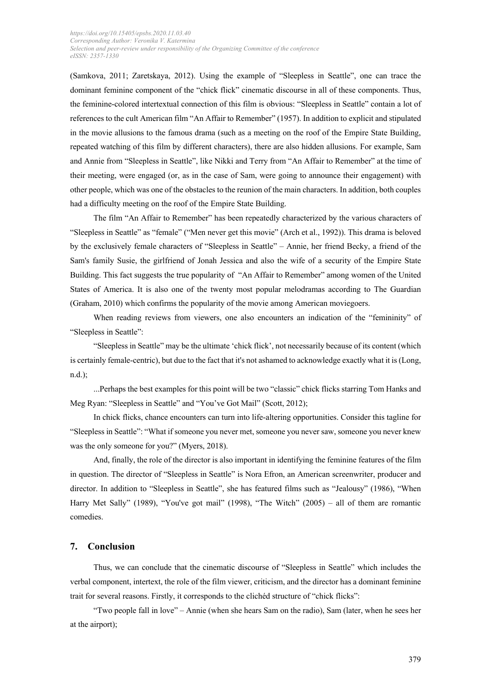(Samkova, 2011; Zaretskaya, 2012). Using the example of "Sleepless in Seattle", one can trace the dominant feminine component of the "chick flick" cinematic discourse in all of these components. Thus, the feminine-colored intertextual connection of this film is obvious: "Sleepless in Seattle" contain a lot of references to the cult American film "An Affair to Remember" (1957). In addition to explicit and stipulated in the movie allusions to the famous drama (such as a meeting on the roof of the Empire State Building, repeated watching of this film by different characters), there are also hidden allusions. For example, Sam and Annie from "Sleepless in Seattle", like Nikki and Terry from "An Affair to Remember" at the time of their meeting, were engaged (or, as in the case of Sam, were going to announce their engagement) with other people, which was one of the obstacles to the reunion of the main characters. In addition, both couples had a difficulty meeting on the roof of the Empire State Building.

The film "An Affair to Remember" has been repeatedly characterized by the various characters of "Sleepless in Seattle" as "female" ("Men never get this movie" (Arch et al., 1992)). This drama is beloved by the exclusively female characters of "Sleepless in Seattle" – Annie, her friend Becky, a friend of the Sam's family Susie, the girlfriend of Jonah Jessica and also the wife of a security of the Empire State Building. This fact suggests the true popularity of "An Affair to Remember" among women of the United States of America. It is also one of the twenty most popular melodramas according to The Guardian (Graham, 2010) which confirms the popularity of the movie among American moviegoers.

When reading reviews from viewers, one also encounters an indication of the "femininity" of "Sleepless in Seattle":

"Sleepless in Seattle" may be the ultimate 'chick flick', not necessarily because of its content (which is certainly female-centric), but due to the fact that it's not ashamed to acknowledge exactly what it is (Long, n.d.);

...Perhaps the best examples for this point will be two "classic" chick flicks starring Tom Hanks and Meg Ryan: "Sleepless in Seattle" and "You've Got Mail" (Scott, 2012);

In chick flicks, chance encounters can turn into life-altering opportunities. Consider this tagline for "Sleepless in Seattle": "What if someone you never met, someone you never saw, someone you never knew was the only someone for you?" (Myers, 2018).

And, finally, the role of the director is also important in identifying the feminine features of the film in question. The director of "Sleepless in Seattle" is Nora Efron, an American screenwriter, producer and director. In addition to "Sleepless in Seattle", she has featured films such as "Jealousy" (1986), "When Harry Met Sally" (1989), "You've got mail" (1998), "The Witch" (2005) – all of them are romantic comedies.

#### **7. Conclusion**

Thus, we can conclude that the cinematic discourse of "Sleepless in Seattle" which includes the verbal component, intertext, the role of the film viewer, criticism, and the director has a dominant feminine trait for several reasons. Firstly, it corresponds to the clichéd structure of "chick flicks":

"Two people fall in love" – Annie (when she hears Sam on the radio), Sam (later, when he sees her at the airport);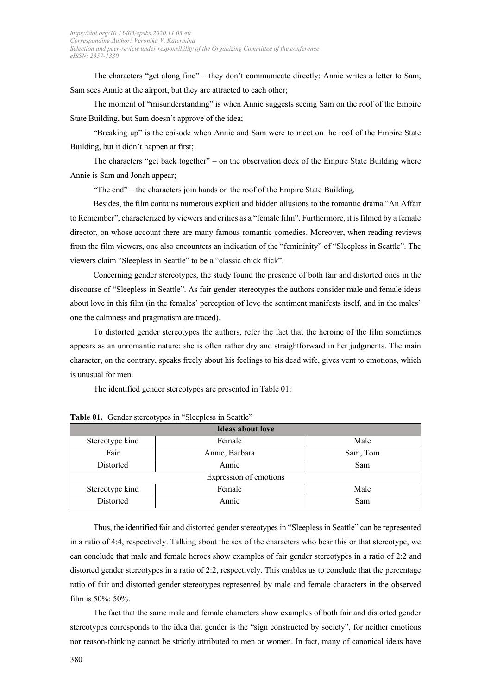The characters "get along fine" – they don't communicate directly: Annie writes a letter to Sam, Sam sees Annie at the airport, but they are attracted to each other;

The moment of "misunderstanding" is when Annie suggests seeing Sam on the roof of the Empire State Building, but Sam doesn't approve of the idea;

"Breaking up" is the episode when Annie and Sam were to meet on the roof of the Empire State Building, but it didn't happen at first;

The characters "get back together" – on the observation deck of the Empire State Building where Annie is Sam and Jonah appear;

"The end" – the characters join hands on the roof of the Empire State Building.

Besides, the film contains numerous explicit and hidden allusions to the romantic drama "An Affair to Remember", characterized by viewers and critics as a "female film". Furthermore, it is filmed by a female director, on whose account there are many famous romantic comedies. Moreover, when reading reviews from the film viewers, one also encounters an indication of the "femininity" of "Sleepless in Seattle". The viewers claim "Sleepless in Seattle" to be a "classic chick flick".

Concerning gender stereotypes, the study found the presence of both fair and distorted ones in the discourse of "Sleepless in Seattle". As fair gender stereotypes the authors consider male and female ideas about love in this film (in the females' perception of love the sentiment manifests itself, and in the males' one the calmness and pragmatism are traced).

To distorted gender stereotypes the authors, refer the fact that the heroine of the film sometimes appears as an unromantic nature: she is often rather dry and straightforward in her judgments. The main character, on the contrary, speaks freely about his feelings to his dead wife, gives vent to emotions, which is unusual for men.

The identified gender stereotypes are presented in Table 01:

| <b>Ideas about love</b> |                |          |
|-------------------------|----------------|----------|
| Stereotype kind         | Female         | Male     |
| Fair                    | Annie, Barbara | Sam, Tom |
| Distorted               | Annie          | Sam      |
| Expression of emotions  |                |          |
| Stereotype kind         | Female         | Male     |
| Distorted               | Annie          | Sam      |

Table 01. Gender stereotypes in "Sleepless in Seattle"

Thus, the identified fair and distorted gender stereotypes in "Sleepless in Seattle" can be represented in a ratio of 4:4, respectively. Talking about the sex of the characters who bear this or that stereotype, we can conclude that male and female heroes show examples of fair gender stereotypes in a ratio of 2:2 and distorted gender stereotypes in a ratio of 2:2, respectively. This enables us to conclude that the percentage ratio of fair and distorted gender stereotypes represented by male and female characters in the observed film is 50%: 50%.

The fact that the same male and female characters show examples of both fair and distorted gender stereotypes corresponds to the idea that gender is the "sign constructed by society", for neither emotions nor reason-thinking cannot be strictly attributed to men or women. In fact, many of canonical ideas have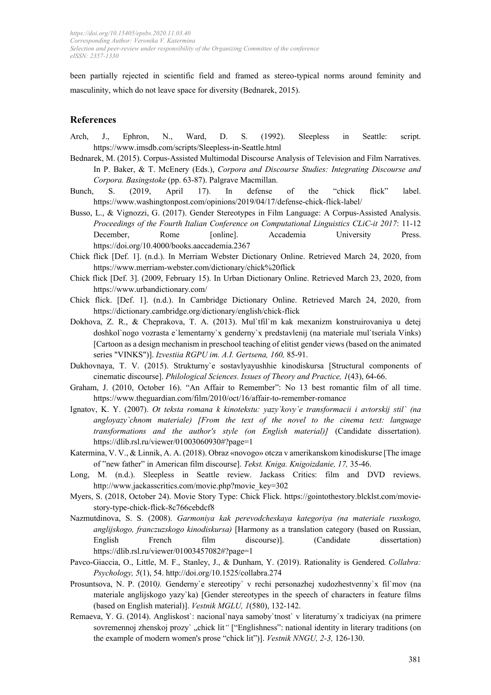been partially rejected in scientific field and framed as stereo-typical norms around feminity and masculinity, which do not leave space for diversity (Bednarek, 2015).

## **References**

- Arch, J., Ephron, N., Ward, D. S. (1992). Sleepless in Seattle: script. https://www.imsdb.com/scripts/Sleepless-in-Seattle.html
- Bednarek, M. (2015). Corpus-Assisted Multimodal Discourse Analysis of Television and Film Narratives. In P. Baker, & T. McEnery (Eds.), *Corpora and Discourse Studies: Integrating Discourse and Corpora. Basingstoke* (pp. 63-87). Palgrave Macmillan.
- Bunch, S. (2019, April 17). In defense of the "chick flick" label. https://www.washingtonpost.com/opinions/2019/04/17/defense-chick-flick-label/
- Busso, L., & Vignozzi, G. (2017). Gender Stereotypes in Film Language: A Corpus-Assisted Analysis. *Proceedings of the Fourth Italian Conference on Computational Linguistics CLiC-it 2017*: 11-12 December, Rome [online]. Accademia University Press. https://doi.org/10.4000/books.aaccademia.2367
- Chick flick [Def. 1]. (n.d.). In Merriam Webster Dictionary Online. Retrieved March 24, 2020, from https://www.merriam-webster.com/dictionary/chick%20flick
- Chick flick [Def. 3]. (2009, February 15). In Urban Dictionary Online. Retrieved March 23, 2020, from https://www.urbandictionary.com/
- Chick flick. [Def. 1]. (n.d.). In Cambridge Dictionary Online. Retrieved March 24, 2020, from https://dictionary.cambridge.org/dictionary/english/chick-flick
- Dokhova, Z. R., & Cheprakova, T. A. (2013). Mul`tfil`m kak mexanizm konstruirovaniya u detej doshkol`nogo vozrasta e`lementarny`x genderny`x predstavlenij (na materiale mul`tseriala Vinks) [Cartoon as a design mechanism in preschool teaching of elitist gender views (based on the animated series "VINKS")]. *Izvestiia RGPU im. A.I. Gertsena, 160,* 85-91.
- Dukhovnaya, T. V. (2015). Strukturny`e sostavlyayushhie kinodiskursa [Structural components of cinematic discourse]. *Philological Sciences. Issues of Theory and Practice, 1*(43), 64-66.
- Graham, J. (2010, October 16). "An Affair to Remember": No 13 best romantic film of all time. https://www.theguardian.com/film/2010/oct/16/affair-to-remember-romance
- Ignatov, K. Y. (2007). *Ot teksta romana k kinotekstu: yazy`kovy`e transformacii i avtorskij stil` (na angloyazy`chnom materiale) [From the text of the novel to the cinema text: language transformations and the author's style (on English material)]* (Candidate dissertation). https://dlib.rsl.ru/viewer/01003060930#?page=1
- Katermina, V. V., & Linnik, A. A. (2018). Obraz «novogo» otcza v amerikanskom kinodiskurse [The image of "new fatherˮ in American film discourse]. *Tekst. Kniga. Knigoizdanie, 17,* 35-46.
- Long, M. (n.d.). Sleepless in Seattle review. Jackass Critics: film and DVD reviews. http://www.jackasscritics.com/movie.php?movie\_key=302
- Myers, S. (2018, October 24). Movie Story Type: Chick Flick. https://gointothestory.blcklst.com/moviestory-type-chick-flick-8c766cebdcf8
- Nazmutdinova, S. S. (2008). *Garmoniya kak perevodcheskaya kategoriya (na materiale russkogo, anglijskogo, franczuzskogo kinodiskursa)* [Harmony as a translation category (based on Russian, English French film discourse)]. (Candidate dissertation) https://dlib.rsl.ru/viewer/01003457082#?page=1
- Pavco-Giaccia, O., Little, M. F., Stanley, J., & Dunham, Y. (2019). Rationality is Gendered*. Collabra: Psychology, 5*(1), 54. http://doi.org/10.1525/collabra.274
- Prosuntsova, N. P. (2010*).* Genderny`e stereotipy` v rechi personazhej xudozhestvenny`x fil`mov (na materiale anglijskogo yazy`ka) [Gender stereotypes in the speech of characters in feature films (based on English material)]. *Vestnik MGLU, 1*(580), 132-142.
- Remaeva, Y. G. (2014). Angliskost`: nacional`naya samoby`tnost` v literaturny`x tradiciyax (na primere sovremennoj zhenskoj prozy`, chick lit<sup>"</sup> ["Englishness": national identity in literary traditions (on the example of modern women's prose "chick lit")]. *Vestnik NNGU, 2-3,* 126-130.